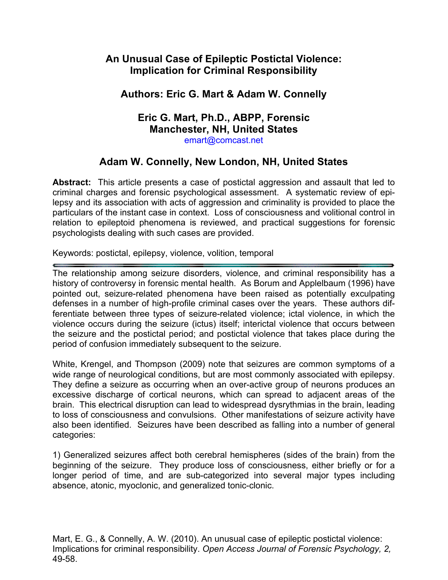# **An Unusual Case of Epileptic Postictal Violence: Implication for Criminal Responsibility**

# **Authors: Eric G. Mart & Adam W. Connelly**

#### **Eric G. Mart, Ph.D., ABPP, Forensic Manchester, NH, United States** emart@comcast.net

# **Adam W. Connelly, New London, NH, United States**

**Abstract:** This article presents a case of postictal aggression and assault that led to criminal charges and forensic psychological assessment. A systematic review of epilepsy and its association with acts of aggression and criminality is provided to place the particulars of the instant case in context. Loss of consciousness and volitional control in relation to epileptoid phenomena is reviewed, and practical suggestions for forensic psychologists dealing with such cases are provided.

Keywords: postictal, epilepsy, violence, volition, temporal

The relationship among seizure disorders, violence, and criminal responsibility has a history of controversy in forensic mental health. As Borum and Applelbaum (1996) have pointed out, seizure-related phenomena have been raised as potentially exculpating defenses in a number of high-profile criminal cases over the years. These authors differentiate between three types of seizure-related violence; ictal violence, in which the violence occurs during the seizure (ictus) itself; interictal violence that occurs between the seizure and the postictal period; and postictal violence that takes place during the period of confusion immediately subsequent to the seizure.

White, Krengel, and Thompson (2009) note that seizures are common symptoms of a wide range of neurological conditions, but are most commonly associated with epilepsy. They define a seizure as occurring when an over-active group of neurons produces an excessive discharge of cortical neurons, which can spread to adjacent areas of the brain. This electrical disruption can lead to widespread dysrythmias in the brain, leading to loss of consciousness and convulsions. Other manifestations of seizure activity have also been identified. Seizures have been described as falling into a number of general categories:

1) Generalized seizures affect both cerebral hemispheres (sides of the brain) from the beginning of the seizure. They produce loss of consciousness, either briefly or for a longer period of time, and are sub-categorized into several major types including absence, atonic, myoclonic, and generalized tonic-clonic.

Mart, E. G., & Connelly, A. W. (2010). An unusual case of epileptic postictal violence: Implications for criminal responsibility. *Open Access Journal of Forensic Psychology, 2,* 49-58.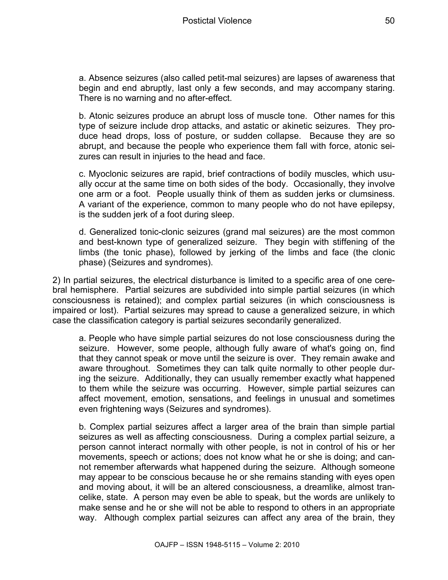a. Absence seizures (also called petit-mal seizures) are lapses of awareness that begin and end abruptly, last only a few seconds, and may accompany staring. There is no warning and no after-effect.

b. Atonic seizures produce an abrupt loss of muscle tone. Other names for this type of seizure include drop attacks, and astatic or akinetic seizures. They produce head drops, loss of posture, or sudden collapse. Because they are so abrupt, and because the people who experience them fall with force, atonic seizures can result in injuries to the head and face.

c. Myoclonic seizures are rapid, brief contractions of bodily muscles, which usually occur at the same time on both sides of the body. Occasionally, they involve one arm or a foot. People usually think of them as sudden jerks or clumsiness. A variant of the experience, common to many people who do not have epilepsy, is the sudden jerk of a foot during sleep.

d. Generalized tonic-clonic seizures (grand mal seizures) are the most common and best-known type of generalized seizure. They begin with stiffening of the limbs (the tonic phase), followed by jerking of the limbs and face (the clonic phase) (Seizures and syndromes).

2) In partial seizures, the electrical disturbance is limited to a specific area of one cerebral hemisphere. Partial seizures are subdivided into simple partial seizures (in which consciousness is retained); and complex partial seizures (in which consciousness is impaired or lost). Partial seizures may spread to cause a generalized seizure, in which case the classification category is partial seizures secondarily generalized.

a. People who have simple partial seizures do not lose consciousness during the seizure. However, some people, although fully aware of what's going on, find that they cannot speak or move until the seizure is over. They remain awake and aware throughout. Sometimes they can talk quite normally to other people during the seizure. Additionally, they can usually remember exactly what happened to them while the seizure was occurring. However, simple partial seizures can affect movement, emotion, sensations, and feelings in unusual and sometimes even frightening ways (Seizures and syndromes).

b. Complex partial seizures affect a larger area of the brain than simple partial seizures as well as affecting consciousness. During a complex partial seizure, a person cannot interact normally with other people, is not in control of his or her movements, speech or actions; does not know what he or she is doing; and cannot remember afterwards what happened during the seizure. Although someone may appear to be conscious because he or she remains standing with eyes open and moving about, it will be an altered consciousness, a dreamlike, almost trancelike, state. A person may even be able to speak, but the words are unlikely to make sense and he or she will not be able to respond to others in an appropriate way. Although complex partial seizures can affect any area of the brain, they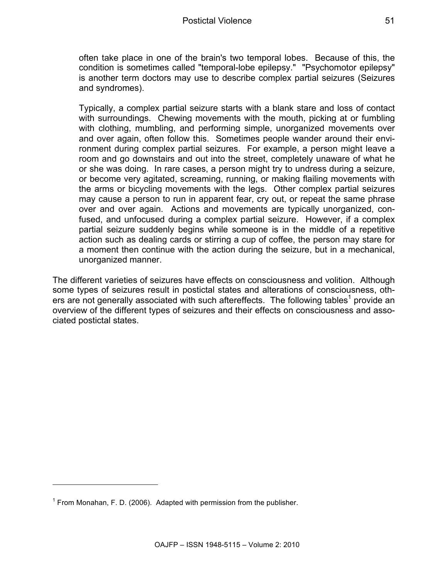often take place in one of the brain's two temporal lobes. Because of this, the condition is sometimes called "temporal-lobe epilepsy." "Psychomotor epilepsy" is another term doctors may use to describe complex partial seizures (Seizures and syndromes).

Typically, a complex partial seizure starts with a blank stare and loss of contact with surroundings. Chewing movements with the mouth, picking at or fumbling with clothing, mumbling, and performing simple, unorganized movements over and over again, often follow this. Sometimes people wander around their environment during complex partial seizures. For example, a person might leave a room and go downstairs and out into the street, completely unaware of what he or she was doing. In rare cases, a person might try to undress during a seizure, or become very agitated, screaming, running, or making flailing movements with the arms or bicycling movements with the legs. Other complex partial seizures may cause a person to run in apparent fear, cry out, or repeat the same phrase over and over again. Actions and movements are typically unorganized, confused, and unfocused during a complex partial seizure. However, if a complex partial seizure suddenly begins while someone is in the middle of a repetitive action such as dealing cards or stirring a cup of coffee, the person may stare for a moment then continue with the action during the seizure, but in a mechanical, unorganized manner.

The different varieties of seizures have effects on consciousness and volition. Although some types of seizures result in postictal states and alterations of consciousness, others are not generally associated with such aftereffects. The following tables<sup>1</sup> provide an overview of the different types of seizures and their effects on consciousness and associated postictal states.

 $\overline{a}$ 

 $1$  From Monahan, F. D. (2006). Adapted with permission from the publisher.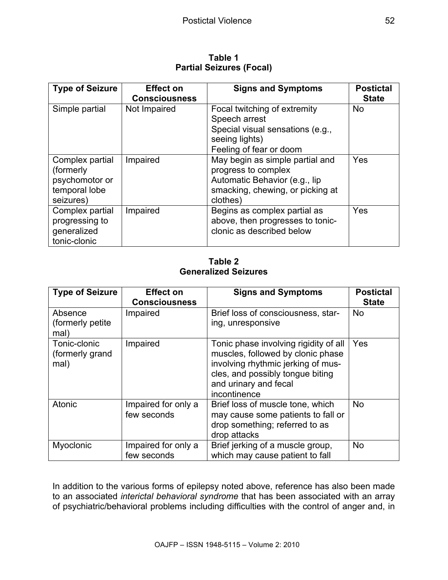**Table 1 Partial Seizures (Focal)**

| <b>Type of Seizure</b>                                                        | <b>Effect on</b><br><b>Consciousness</b> | <b>Signs and Symptoms</b>                                                                                                               | <b>Postictal</b><br><b>State</b> |
|-------------------------------------------------------------------------------|------------------------------------------|-----------------------------------------------------------------------------------------------------------------------------------------|----------------------------------|
| Simple partial                                                                | Not Impaired                             | Focal twitching of extremity<br>Speech arrest<br>Special visual sensations (e.g.,<br>seeing lights)<br>Feeling of fear or doom          | <b>No</b>                        |
| Complex partial<br>(formerly)<br>psychomotor or<br>temporal lobe<br>seizures) | Impaired                                 | May begin as simple partial and<br>progress to complex<br>Automatic Behavior (e.g., lip<br>smacking, chewing, or picking at<br>clothes) | Yes                              |
| Complex partial<br>progressing to<br>generalized<br>tonic-clonic              | Impaired                                 | Begins as complex partial as<br>above, then progresses to tonic-<br>clonic as described below                                           | Yes                              |

**Table 2 Generalized Seizures**

| <b>Type of Seizure</b>                  | <b>Effect on</b><br><b>Consciousness</b> | <b>Signs and Symptoms</b>                                                                                                                                                                     | <b>Postictal</b><br><b>State</b> |
|-----------------------------------------|------------------------------------------|-----------------------------------------------------------------------------------------------------------------------------------------------------------------------------------------------|----------------------------------|
| Absence<br>(formerly petite)<br>mal)    | Impaired                                 | Brief loss of consciousness, star-<br>ing, unresponsive                                                                                                                                       | <b>No</b>                        |
| Tonic-clonic<br>(formerly grand<br>mal) | Impaired                                 | Tonic phase involving rigidity of all<br>muscles, followed by clonic phase<br>involving rhythmic jerking of mus-<br>cles, and possibly tongue biting<br>and urinary and fecal<br>incontinence | Yes                              |
| Atonic                                  | Impaired for only a<br>few seconds       | Brief loss of muscle tone, which<br>may cause some patients to fall or<br>drop something; referred to as<br>drop attacks                                                                      | <b>No</b>                        |
| Myoclonic                               | Impaired for only a<br>few seconds       | Brief jerking of a muscle group,<br>which may cause patient to fall                                                                                                                           | <b>No</b>                        |

In addition to the various forms of epilepsy noted above, reference has also been made to an associated *interictal behavioral syndrome* that has been associated with an array of psychiatric/behavioral problems including difficulties with the control of anger and, in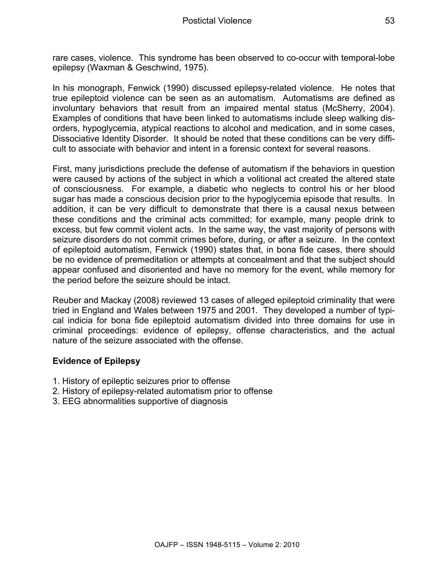rare cases, violence. This syndrome has been observed to co-occur with temporal-lobe epilepsy (Waxman & Geschwind, 1975).

In his monograph, Fenwick (1990) discussed epilepsy-related violence. He notes that true epileptoid violence can be seen as an automatism. Automatisms are defined as involuntary behaviors that result from an impaired mental status (McSherry, 2004). Examples of conditions that have been linked to automatisms include sleep walking disorders, hypoglycemia, atypical reactions to alcohol and medication, and in some cases, Dissociative Identity Disorder. It should be noted that these conditions can be very difficult to associate with behavior and intent in a forensic context for several reasons.

First, many jurisdictions preclude the defense of automatism if the behaviors in question were caused by actions of the subject in which a volitional act created the altered state of consciousness. For example, a diabetic who neglects to control his or her blood sugar has made a conscious decision prior to the hypoglycemia episode that results. In addition, it can be very difficult to demonstrate that there is a causal nexus between these conditions and the criminal acts committed; for example, many people drink to excess, but few commit violent acts. In the same way, the vast majority of persons with seizure disorders do not commit crimes before, during, or after a seizure. In the context of epileptoid automatism, Fenwick (1990) states that, in bona fide cases, there should be no evidence of premeditation or attempts at concealment and that the subject should appear confused and disoriented and have no memory for the event, while memory for the period before the seizure should be intact.

Reuber and Mackay (2008) reviewed 13 cases of alleged epileptoid criminality that were tried in England and Wales between 1975 and 2001. They developed a number of typical indicia for bona fide epileptoid automatism divided into three domains for use in criminal proceedings: evidence of epilepsy, offense characteristics, and the actual nature of the seizure associated with the offense.

## **Evidence of Epilepsy**

- 1. History of epileptic seizures prior to offense
- 2. History of epilepsy-related automatism prior to offense
- 3. EEG abnormalities supportive of diagnosis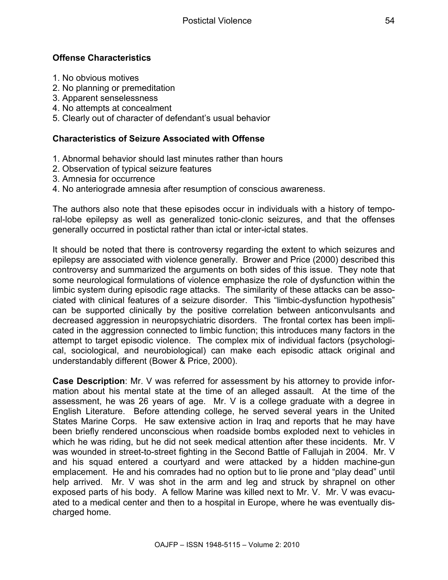## **Offense Characteristics**

- 1. No obvious motives
- 2. No planning or premeditation
- 3. Apparent senselessness
- 4. No attempts at concealment
- 5. Clearly out of character of defendant's usual behavior

#### **Characteristics of Seizure Associated with Offense**

- 1. Abnormal behavior should last minutes rather than hours
- 2. Observation of typical seizure features
- 3. Amnesia for occurrence
- 4. No anteriograde amnesia after resumption of conscious awareness.

The authors also note that these episodes occur in individuals with a history of temporal-lobe epilepsy as well as generalized tonic-clonic seizures, and that the offenses generally occurred in postictal rather than ictal or inter-ictal states.

It should be noted that there is controversy regarding the extent to which seizures and epilepsy are associated with violence generally. Brower and Price (2000) described this controversy and summarized the arguments on both sides of this issue. They note that some neurological formulations of violence emphasize the role of dysfunction within the limbic system during episodic rage attacks. The similarity of these attacks can be associated with clinical features of a seizure disorder. This "limbic-dysfunction hypothesis" can be supported clinically by the positive correlation between anticonvulsants and decreased aggression in neuropsychiatric disorders. The frontal cortex has been implicated in the aggression connected to limbic function; this introduces many factors in the attempt to target episodic violence. The complex mix of individual factors (psychological, sociological, and neurobiological) can make each episodic attack original and understandably different (Bower & Price, 2000).

**Case Description**: Mr. V was referred for assessment by his attorney to provide information about his mental state at the time of an alleged assault. At the time of the assessment, he was 26 years of age. Mr. V is a college graduate with a degree in English Literature. Before attending college, he served several years in the United States Marine Corps. He saw extensive action in Iraq and reports that he may have been briefly rendered unconscious when roadside bombs exploded next to vehicles in which he was riding, but he did not seek medical attention after these incidents. Mr. V was wounded in street-to-street fighting in the Second Battle of Fallujah in 2004. Mr. V and his squad entered a courtyard and were attacked by a hidden machine-gun emplacement. He and his comrades had no option but to lie prone and "play dead" until help arrived. Mr. V was shot in the arm and leg and struck by shrapnel on other exposed parts of his body. A fellow Marine was killed next to Mr. V. Mr. V was evacuated to a medical center and then to a hospital in Europe, where he was eventually discharged home.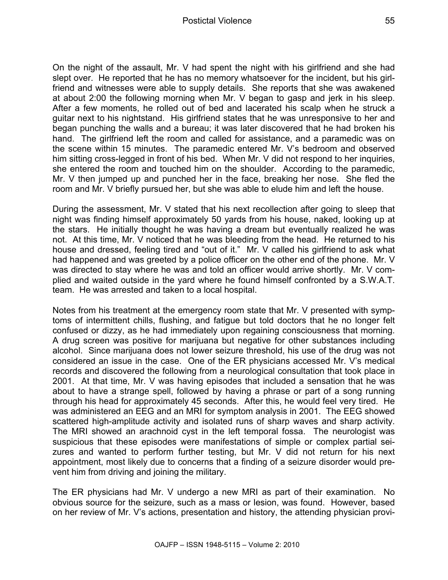On the night of the assault, Mr. V had spent the night with his girlfriend and she had slept over. He reported that he has no memory whatsoever for the incident, but his girlfriend and witnesses were able to supply details. She reports that she was awakened at about 2:00 the following morning when Mr. V began to gasp and jerk in his sleep. After a few moments, he rolled out of bed and lacerated his scalp when he struck a guitar next to his nightstand. His girlfriend states that he was unresponsive to her and began punching the walls and a bureau; it was later discovered that he had broken his hand. The girlfriend left the room and called for assistance, and a paramedic was on the scene within 15 minutes. The paramedic entered Mr. V's bedroom and observed him sitting cross-legged in front of his bed. When Mr. V did not respond to her inquiries, she entered the room and touched him on the shoulder. According to the paramedic, Mr. V then jumped up and punched her in the face, breaking her nose. She fled the room and Mr. V briefly pursued her, but she was able to elude him and left the house.

During the assessment, Mr. V stated that his next recollection after going to sleep that night was finding himself approximately 50 yards from his house, naked, looking up at the stars. He initially thought he was having a dream but eventually realized he was not. At this time, Mr. V noticed that he was bleeding from the head. He returned to his house and dressed, feeling tired and "out of it." Mr. V called his girlfriend to ask what had happened and was greeted by a police officer on the other end of the phone. Mr. V was directed to stay where he was and told an officer would arrive shortly. Mr. V complied and waited outside in the yard where he found himself confronted by a S.W.A.T. team. He was arrested and taken to a local hospital.

Notes from his treatment at the emergency room state that Mr. V presented with symptoms of intermittent chills, flushing, and fatigue but told doctors that he no longer felt confused or dizzy, as he had immediately upon regaining consciousness that morning. A drug screen was positive for marijuana but negative for other substances including alcohol. Since marijuana does not lower seizure threshold, his use of the drug was not considered an issue in the case. One of the ER physicians accessed Mr. V's medical records and discovered the following from a neurological consultation that took place in 2001. At that time, Mr. V was having episodes that included a sensation that he was about to have a strange spell, followed by having a phrase or part of a song running through his head for approximately 45 seconds. After this, he would feel very tired. He was administered an EEG and an MRI for symptom analysis in 2001. The EEG showed scattered high-amplitude activity and isolated runs of sharp waves and sharp activity. The MRI showed an arachnoid cyst in the left temporal fossa. The neurologist was suspicious that these episodes were manifestations of simple or complex partial seizures and wanted to perform further testing, but Mr. V did not return for his next appointment, most likely due to concerns that a finding of a seizure disorder would prevent him from driving and joining the military.

The ER physicians had Mr. V undergo a new MRI as part of their examination. No obvious source for the seizure, such as a mass or lesion, was found. However, based on her review of Mr. V's actions, presentation and history, the attending physician provi-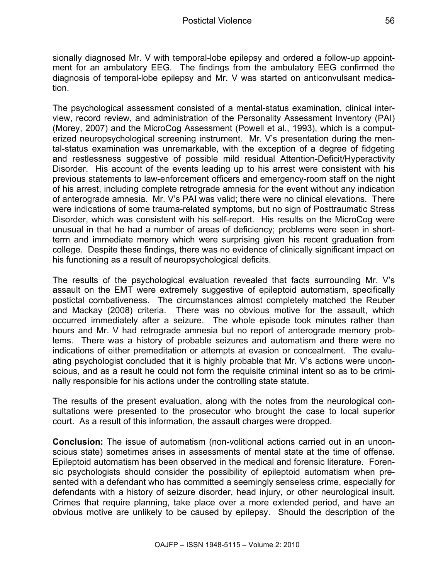sionally diagnosed Mr. V with temporal-lobe epilepsy and ordered a follow-up appointment for an ambulatory EEG. The findings from the ambulatory EEG confirmed the diagnosis of temporal-lobe epilepsy and Mr. V was started on anticonvulsant medication.

The psychological assessment consisted of a mental-status examination, clinical interview, record review, and administration of the Personality Assessment Inventory (PAI) (Morey, 2007) and the MicroCog Assessment (Powell et al., 1993), which is a computerized neuropsychological screening instrument. Mr. V's presentation during the mental-status examination was unremarkable, with the exception of a degree of fidgeting and restlessness suggestive of possible mild residual Attention-Deficit/Hyperactivity Disorder. His account of the events leading up to his arrest were consistent with his previous statements to law-enforcement officers and emergency-room staff on the night of his arrest, including complete retrograde amnesia for the event without any indication of anterograde amnesia. Mr. V's PAI was valid; there were no clinical elevations. There were indications of some trauma-related symptoms, but no sign of Posttraumatic Stress Disorder, which was consistent with his self-report. His results on the MicroCog were unusual in that he had a number of areas of deficiency; problems were seen in shortterm and immediate memory which were surprising given his recent graduation from college. Despite these findings, there was no evidence of clinically significant impact on his functioning as a result of neuropsychological deficits.

The results of the psychological evaluation revealed that facts surrounding Mr. V's assault on the EMT were extremely suggestive of epileptoid automatism, specifically postictal combativeness. The circumstances almost completely matched the Reuber and Mackay (2008) criteria. There was no obvious motive for the assault, which occurred immediately after a seizure. The whole episode took minutes rather than hours and Mr. V had retrograde amnesia but no report of anterograde memory problems. There was a history of probable seizures and automatism and there were no indications of either premeditation or attempts at evasion or concealment. The evaluating psychologist concluded that it is highly probable that Mr. V's actions were unconscious, and as a result he could not form the requisite criminal intent so as to be criminally responsible for his actions under the controlling state statute.

The results of the present evaluation, along with the notes from the neurological consultations were presented to the prosecutor who brought the case to local superior court. As a result of this information, the assault charges were dropped.

**Conclusion:** The issue of automatism (non-volitional actions carried out in an unconscious state) sometimes arises in assessments of mental state at the time of offense. Epileptoid automatism has been observed in the medical and forensic literature. Forensic psychologists should consider the possibility of epileptoid automatism when presented with a defendant who has committed a seemingly senseless crime, especially for defendants with a history of seizure disorder, head injury, or other neurological insult. Crimes that require planning, take place over a more extended period, and have an obvious motive are unlikely to be caused by epilepsy. Should the description of the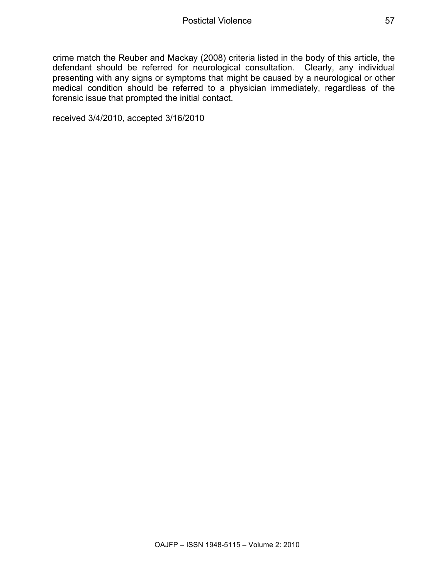crime match the Reuber and Mackay (2008) criteria listed in the body of this article, the defendant should be referred for neurological consultation. Clearly, any individual presenting with any signs or symptoms that might be caused by a neurological or other medical condition should be referred to a physician immediately, regardless of the forensic issue that prompted the initial contact.

received 3/4/2010, accepted 3/16/2010